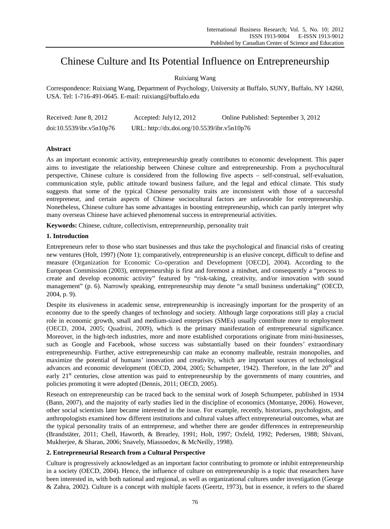# Chinese Culture and Its Potential Influence on Entrepreneurship

# Ruixiang Wang

Correspondence: Ruixiang Wang, Department of Psychology, University at Buffalo, SUNY, Buffalo, NY 14260, USA. Tel: 1-716-491-0645. E-mail: ruixiang@buffalo.edu

| Received: June 8, 2012   | Accepted: July $12, 2012$                   | Online Published: September 3, 2012 |
|--------------------------|---------------------------------------------|-------------------------------------|
| doi:10.5539/ibr.v5n10p76 | URL: http://dx.doi.org/10.5539/ibr.v5n10p76 |                                     |

# **Abstract**

As an important economic activity, entrepreneurship greatly contributes to economic development. This paper aims to investigate the relationship between Chinese culture and entrepreneurship. From a psychocultural perspective, Chinese culture is considered from the following five aspects – self-construal, self-evaluation, communication style, public attitude toward business failure, and the legal and ethical climate. This study suggests that some of the typical Chinese personality traits are inconsistent with those of a successful entrepreneur, and certain aspects of Chinese sociocultural factors are unfavorable for entrepreneurship. Nonetheless, Chinese culture has some advantages in boosting entrepreneurship, which can partly interpret why many overseas Chinese have achieved phenomenal success in entrepreneurial activities.

**Keywords:** Chinese, culture, collectivism, entrepreneurship, personality trait

## **1. Introduction**

Entrepreneurs refer to those who start businesses and thus take the psychological and financial risks of creating new ventures (Holt, 1997) (Note 1); comparatively, entrepreneurship is an elusive concept, difficult to define and measure (Organization for Economic Co-operation and Development [OECD], 2004). According to the European Commission (2003), entrepreneurship is first and foremost a mindset, and consequently a "process to create and develop economic activity" featured by "risk-taking, creativity, and/or innovation with sound management" (p. 6). Narrowly speaking, entrepreneurship may denote "a small business undertaking" (OECD, 2004, p. 9).

Despite its elusiveness in academic sense, entrepreneurship is increasingly important for the prosperity of an economy due to the speedy changes of technology and society. Although large corporations still play a crucial role in economic growth, small and medium-sized enterprises (SMEs) usually contribute more to employment (OECD, 2004, 2005; Quadrini, 2009), which is the primary manifestation of entrepreneurial significance. Moreover, in the high-tech industries, more and more established corporations originate from mini-businesses, such as Google and Facebook, whose success was substantially based on their founders' extraordinary entrepreneurship. Further, active entrepreneurship can make an economy malleable, restrain monopolies, and maximize the potential of humans' innovation and creativity, which are important sources of technological advances and economic development (OECD, 2004, 2005; Schumpeter, 1942). Therefore, in the late  $20<sup>th</sup>$  and early 21<sup>st</sup> centuries, close attention was paid to entrepreneurship by the governments of many countries, and policies promoting it were adopted (Dennis, 2011; OECD, 2005).

Reseach on entrepreneurship can be traced back to the seminal work of Joseph Schumpeter, published in 1934 (Bann, 2007), and the majority of early studies lied in the discipline of economics (Montanye, 2006). However, other social scientists later became interested in the issue. For example, recently, historians, psychologists, and anthropologists examined how different institutions and cultural values affect entrepreneurial outcomes, what are the typical personality traits of an entrepreneur, and whether there are gender differences in entrepreneurship (Brandstäter, 2011; Chell, Haworth, & Brearley, 1991; Holt, 1997; Oxfeld, 1992; Pedersen, 1988; Shivani, Mukherjee, & Sharan, 2006; Snavely, Miassoedov, & McNeilly, 1998).

## **2. Entrepreneurial Research from a Cultural Perspective**

Culture is progressively acknowledged as an important factor contributing to promote or inhibit entrepreneurship in a society (OECD, 2004). Hence, the influence of culture on entrepreneurship is a topic that researchers have been interested in, with both national and regional, as well as organizational cultures under investigation (George & Zahra, 2002). Culture is a concept with multiple facets (Geertz, 1973), but in essence, it refers to the shared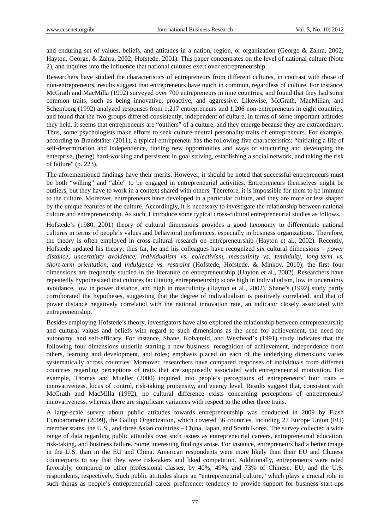and enduring set of values, beliefs, and attitudes in a nation, region, or organization (George & Zahra, 2002; Hayton, George, & Zahra, 2002; Hofstede, 2001). This paper concentrates on the level of national culture (Note 2), and inquires into the influence that national cultures exert over entrepreneurship.

Researchers have studied the characteristics of entrepreneurs from different cultures, in contrast with those of non-entrepreneurs; results suggest that entrepreneurs have much in common, regardless of culture. For instance, McGrath and MacMilla (1992) surveyed over 700 entrepreneurs in nine countries, and found that they had some common traits, such as being innovative, proactive, and aggressive. Likewise, McGrath, MacMillan, and Scheinberg (1992) analyzed responses from 1,217 entrepreneurs and 1,206 non-entrepreneurs in eight countries, and found that the two groups differed consistently, independent of culture, in terms of some important attitudes they held. It seems that entrepreneurs are "outliers" of a culture, and they emerge because they are extraordinary. Thus, some psychologists make efforts to seek culture-neutral personality traits of entrepreneurs. For example, according to Brandstäter (2011), a typical entrepreneur has the following five characteristics: "initiating a life of self-determination and independence, finding new opportunities and ways of structuring and developing the enterprise, (being) hard-working and persistent in goal striving, establishing a social network, and taking the risk of failure" (p. 223).

The aforementioned findings have their merits. However, it should be noted that successful entrepreneurs must be both "willing" and "able" to be engaged in entrepreneurial activities. Entrepreneurs themselves might be outliers, but they have to work in a context shared with others. Therefore, it is impossible for them to be immune to the culture. Moreover, entrepreneurs have developed in a particular culture, and they are more or less shaped by the unique features of the culture. Accordingly, it is necessary to investigate the relationship between national culture and entrepreneurship. As such, I introduce some typical cross-cultural entrepreneurial studies as follows.

Hofstede's (1980, 2001) theory of cultural dimensions provides a good taxonomy to differentiate national cultures in terms of people's values and behavioral preferences, especially in business organizations. Therefore, the theory is often employed in cross-cultural research on entrepreneurship (Hayton et al., 2002). Recently, Hofstede updated his theory; thus far, he and his colleagues have recognized six cultural dimensions – *power distance*, *uncertainty avoidance*, *individualism vs. collectivism*, *masculinity vs. femininity*, *long-term vs. short-term orientation*, and *indulgence vs. restraint* (Hofstede, Hofstede, & Minkov, 2010); the first four dimensions are frequently studied in the literature on entrepreneurship (Hayton et al., 2002). Researchers have repeatedly hypothesized that cultures facilitating entrepreneurship score high in individualism, low in uncertainty avoidance, low in power distance, and high in masculinity (Hayton et al., 2002). Shane's (1992) study partly corroborated the hypotheses, suggesting that the degree of individualism is positively correlated, and that of power distance negatively correlated with the national innovation rate, an indicator closely associated with entrepreneurship.

Besides employing Hofstede's theory, investigators have also explored the relationship between entrepreneurship and cultural values and beliefs with regard to such dimensions as the need for achievement, the need for autonomy, and self-efficacy. For instance, Shane, Kolvereid, and Westhead's (1991) study indicates that the following four dimensions underlie starting a new business: recognition of achievement, independence from others, learning and development, and roles; emphasis placed on each of the underlying dimensions varies systematically across countries. Moreover, researchers have compared responses of individuals from different countries regarding perceptions of traits that are supposedly associated with entrepreneurial motivation. For example, Thomas and Mueller (2000) inquired into people's perceptions of entrepreneurs' four traits – innovativeness, locus of control, risk-taking propensity, and energy level. Results suggest that, consistent with McGrath and MacMilla (1992), no cultural difference exists concerning perceptions of entrepreneurs' innovativeness, whereas there are significant variances with respect to the other three traits.

A large-scale survey about public attitudes towards entrepreneurship was conducted in 2009 by Flash Eurobarometer (2009), the Gallup Organization, which covered 36 countries, including 27 Europe Union (EU) member states, the U.S., and three Asian countries – China, Japan, and South Korea. The survey collected a wide range of data regarding public attitudes over such issues as entrepreneurial careers, entrepreneurial education, risk-taking, and business failure. Some interesting findings arose. For instance, entrepreneurs had a better image in the U.S. than in the EU and China. American respondents were more likely than their EU and Chinese counterparts to say that they were risk-takers and liked competition. Additionally, entrepreneurs were rated favorably, compared to other professional classes, by 40%, 49%, and 73% of Chinese, EU, and the U.S. respondents, respectively. Such public attitudes shape an "entrepreneurial culture," which plays a crucial role in such things as people's entrepreneurial career preference; tendency to provide support for business start-ups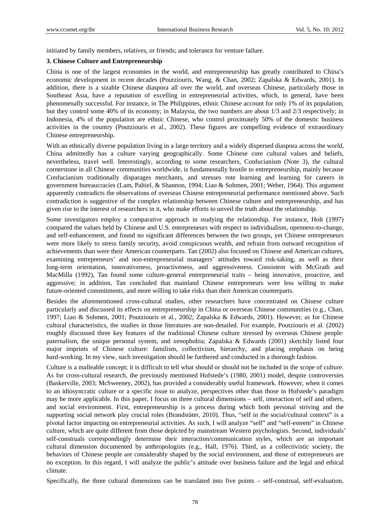initiated by family members, relatives, or friends; and tolerance for venture failure.

#### **3. Chinese Culture and Entrepreneurship**

China is one of the largest economies in the world, and entrepreneurship has greatly contributed to China's economic development in recent decades (Poutziouris, Wang, & Chan, 2002; Zapalska & Edwards, 2001). In addition, there is a sizable Chinese diaspora all over the world, and overseas Chinese, particularly those in Southeast Asia, have a reputation of excelling in entrepreneurial activities, which, in general, have been phenomenally successful. For instance, in The Philippines, ethnic Chinese account for only 1% of its population, but they control some 40% of its economy; in Malaysia, the two numbers are about 1/3 and 2/3 respectively; in Indonesia, 4% of the population are ethnic Chinese, who control proximately 50% of the domestic business activities in the country (Poutziouris et al., 2002). These figures are compelling evidence of extraordinary Chinese entrepreneurship.

With an ethnically diverse population living in a large territory and a widely dispersed diaspora across the world, China admittedly has a culture varying geographically. Some Chinese core cultural values and beliefs, nevertheless, travel well. Interestingly, according to some researchers, Confucianism (Note 3), the cultural cornerstone in all Chinese communities worldwide, is fundamentally hostile to entrepreneurship, mainly because Confucianism traditionally disparages merchants, and stresses rote learning and learning for careers in government bureaucracies (Lam, Paltiel, & Shannon, 1994; Liao & Sohmen, 2001; Weber, 1964). This argument apparently contradicts the observations of overseas Chinese entrepreneurial performance mentioned above. Such contradiction is suggestive of the complex relationship between Chinese culture and entrepreneurship, and has given rise to the interest of researchers in it, who make efforts to unveil the truth about the relationship.

Some investigators employ a comparative approach in studying the relationship. For instance, Holt (1997) compared the values held by Chinese and U.S. entrepreneurs with respect to individualism, openness-to-change, and self-enhancement, and found no significant differences between the two groups, yet Chinese entrepreneurs were more likely to stress family security, avoid conspicuous wealth, and refrain from outward recognition of achievements than were their American counterparts. Tan (2002) also focused on Chinese and American cultures, examining entrepreneurs' and non-entrepreneurial managers' attitudes toward risk-taking, as well as their long-term orientation, innovativeness, proactiveness, and aggressiveness. Consistent with McGrath and MacMilla (1992), Tan found some culture-general entrepreneurial traits – being innovative, proactive, and aggressive; in addition, Tan concluded that mainland Chinese entrepreneurs were less willing to make future-oriented commitments, and more willing to take risks than their American counterparts.

Besides the aforementioned cross-cultural studies, other researchers have concentrated on Chinese culture particularly and discussed its effects on entrepreneurship in China or overseas Chinese communities (e.g., Chan, 1997; Liao & Sohmen, 2001; Poutziouris et al., 2002; Zapalska & Edwards, 2001). However, as for Chinese cultural characteristics, the studies in those literatures are non-detailed. For example, Poutziouris et al. (2002) roughly discussed three key features of the traditional Chinese culture stressed by overseas Chinese people: paternalism, the unique personal system, and xenophobia; Zapalska & Edwards (2001) sketchily listed four major imprints of Chinese culture: familism, collectivism, hierarchy, and placing emphasis on being hard-working. In my view, such investigation should be furthered and conducted in a thorough fashion.

Culture is a malleable concept; it is difficult to tell what should or should not be included in the scope of culture. As for cross-cultural research, the previously mentioned Hofstede's (1980, 2001) model, despite controversies (Baskerville, 2003; McSweeney, 2002), has provided a considerably useful framework. However, when it comes to an idiosyncratic culture or a specific issue to analyze, perspectives other than those in Hofstede's paradigm may be more applicable. In this paper, I focus on three cultural dimensions – self, interaction of self and others, and social environment. First, entrepreneurship is a process during which both personal striving and the supporting social network play crucial roles (Brandstäter, 2010). Thus, "self in the social/cultural context" is a pivotal factor impacting on entrepreneurial activities. As such, I will analyze "self" and "self-esteem" in Chinese culture, which are quite different from those depicted by mainstream Western psychologists. Second, individuals' self-construals correspondingly determine their interaction/communication styles, which are an important cultural dimension documented by anthropologists (e.g., Hall, 1976). Third, as a collectivistic society, the behaviors of Chinese people are considerably shaped by the social environment, and those of entrepreneurs are no exception. In this regard, I will analyze the public's attitude over business failure and the legal and ethical climate.

Specifically, the three cultural dimensions can be translated into five points – self-construal, self-evaluation,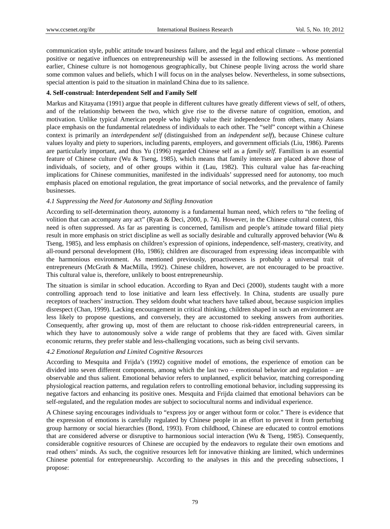communication style, public attitude toward business failure, and the legal and ethical climate – whose potential positive or negative influences on entrepreneurship will be assessed in the following sections. As mentioned earlier, Chinese culture is not homogenous geographically, but Chinese people living across the world share some common values and beliefs, which I will focus on in the analyses below. Nevertheless, in some subsections, special attention is paid to the situation in mainland China due to its salience.

## **4. Self-construal: Interdependent Self and Family Self**

Markus and Kitayama (1991) argue that people in different cultures have greatly different views of self, of others, and of the relationship between the two, which give rise to the diverse nature of cognition, emotion, and motivation. Unlike typical American people who highly value their independence from others, many Asians place emphasis on the fundamental relatedness of individuals to each other. The "self" concept within a Chinese context is primarily an *interdependent self* (distinguished from an *independent self*), because Chinese culture values loyalty and piety to superiors, including parents, employers, and government officials (Liu, 1986). Parents are particularly important, and thus Yu (1996) regarded Chinese self as a *family self*. Familism is an essential feature of Chinese culture (Wu & Tseng, 1985), which means that family interests are placed above those of individuals, of society, and of other groups within it (Lau, 1982). This cultural value has far-reaching implications for Chinese communities, manifested in the individuals' suppressed need for autonomy, too much emphasis placed on emotional regulation, the great importance of social networks, and the prevalence of family businesses.

# *4.1 Suppressing the Need for Autonomy and Stifling Innovation*

According to self-determination theory, autonomy is a fundamental human need, which refers to "the feeling of volition that can accompany any act" (Ryan & Deci, 2000, p. 74). However, in the Chinese cultural context, this need is often suppressed. As far as parenting is concerned, familism and people's attitude toward filial piety result in more emphasis on strict discipline as well as socially desirable and culturally approved behavior (Wu & Tseng, 1985), and less emphasis on children's expression of opinions, independence, self-mastery, creativity, and all-round personal development (Ho, 1986); children are discouraged from expressing ideas incompatible with the harmonious environment. As mentioned previously, proactiveness is probably a universal trait of entrepreneurs (McGrath & MacMilla, 1992). Chinese children, however, are not encouraged to be proactive. This cultural value is, therefore, unlikely to boost entrepreneurship.

The situation is similar in school education. According to Ryan and Deci (2000), students taught with a more controlling approach tend to lose initiative and learn less effectively. In China, students are usually pure receptors of teachers' instruction. They seldom doubt what teachers have talked about, because suspicion implies disrespect (Chan, 1999). Lacking encouragement in critical thinking, children shaped in such an environment are less likely to propose questions, and conversely, they are accustomed to seeking answers from authorities. Consequently, after growing up, most of them are reluctant to choose risk-ridden entrepreneurial careers, in which they have to autonomously solve a wide range of problems that they are faced with. Given similar economic returns, they prefer stable and less-challenging vocations, such as being civil servants.

# *4.2 Emotional Regulation and Limited Cognitive Resources*

According to Mesquita and Frijda's (1992) cognitive model of emotions, the experience of emotion can be divided into seven different components, among which the last two – emotional behavior and regulation – are observable and thus salient. Emotional behavior refers to unplanned, explicit behavior, matching corresponding physiological reaction patterns, and regulation refers to controlling emotional behavior, including suppressing its negative factors and enhancing its positive ones. Mesquita and Frijda claimed that emotional behaviors can be self-regulated, and the regulation modes are subject to sociocultural norms and individual experience.

A Chinese saying encourages individuals to "express joy or anger without form or color." There is evidence that the expression of emotions is carefully regulated by Chinese people in an effort to prevent it from perturbing group harmony or social hierarchies (Bond, 1993). From childhood, Chinese are educated to control emotions that are considered adverse or disruptive to harmonious social interaction (Wu & Tseng, 1985). Consequently, considerable cognitive resources of Chinese are occupied by the endeavors to regulate their own emotions and read others' minds. As such, the cognitive resources left for innovative thinking are limited, which undermines Chinese potential for entrepreneurship. According to the analyses in this and the preceding subsections, I propose: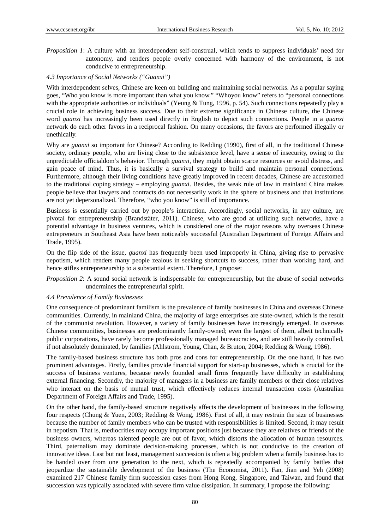*Proposition 1*: A culture with an interdependent self-construal, which tends to suppress individuals' need for autonomy, and renders people overly concerned with harmony of the environment, is not conducive to entrepreneurship.

## *4.3 Importance of Social Networks ("Guanxi")*

With interdependent selves, Chinese are keen on building and maintaining social networks. As a popular saying goes, "Who you know is more important than what you know." "Whoyou know" refers to "personal connections with the appropriate authorities or individuals" (Yeung & Tung, 1996, p. 54). Such connections repeatedly play a crucial role in achieving business success. Due to their extreme significance in Chinese culture, the Chinese word *guanxi* has increasingly been used directly in English to depict such connections. People in a *guanxi* network do each other favors in a reciprocal fashion. On many occasions, the favors are performed illegally or unethically.

Why are *guanxi* so important for Chinese? According to Redding (1990), first of all, in the traditional Chinese society, ordinary people, who are living close to the subsistence level, have a sense of insecurity, owing to the unpredictable officialdom's behavior. Through *guanxi*, they might obtain scarce resources or avoid distress, and gain peace of mind. Thus, it is basically a survival strategy to build and maintain personal connections. Furthermore, although their living conditions have greatly improved in recent decades, Chinese are accustomed to the traditional coping strategy – employing *guanxi*. Besides, the weak rule of law in mainland China makes people believe that lawyers and contracts do not necessarily work in the sphere of business and that institutions are not yet depersonalized. Therefore, "who you know" is still of importance.

Business is essentially carried out by people's interaction. Accordingly, social networks, in any culture, are pivotal for entrepreneurship (Brandstäter, 2011). Chinese, who are good at utilizing such networks, have a potential advantage in business ventures, which is considered one of the major reasons why overseas Chinese entrepreneurs in Southeast Asia have been noticeably successful (Australian Department of Foreign Affairs and Trade, 1995).

On the flip side of the issue, *guanxi* has frequently been used improperly in China, giving rise to pervasive nepotism, which renders many people zealous in seeking shortcuts to success, rather than working hard, and hence stifles entrepreneurship to a substantial extent. Therefore, I propose:

*Proposition 2*: A sound social network is indispensable for entrepreneurship, but the abuse of social networks undermines the entrepreneurial spirit.

## *4.4 Prevalence of Family Businesses*

One consequence of predominant familism is the prevalence of family businesses in China and overseas Chinese communities. Currently, in mainland China, the majority of large enterprises are state-owned, which is the result of the communist revolution. However, a variety of family businesses have increasingly emerged. In overseas Chinese communities, businesses are predominantly family-owned; even the largest of them, albeit technically public corporations, have rarely become professionally managed bureaucracies, and are still heavily controlled, if not absolutely dominated, by families (Ahlstrom, Young, Chan, & Bruton, 2004; Redding & Wong, 1986).

The family-based business structure has both pros and cons for entrepreneurship. On the one hand, it has two prominent advantages. Firstly, families provide financial support for start-up businesses, which is crucial for the success of business ventures, because newly founded small firms frequently have difficulty in establishing external financing. Secondly, the majority of managers in a business are family members or their close relatives who interact on the basis of mutual trust, which effectively reduces internal transaction costs (Australian Department of Foreign Affairs and Trade, 1995).

On the other hand, the family-based structure negatively affects the development of businesses in the following four respects (Chung & Yuen, 2003; Redding & Wong, 1986). First of all, it may restrain the size of businesses because the number of family members who can be trusted with responsibilities is limited. Second, it may result in nepotism. That is, mediocrities may occupy important positions just because they are relatives or friends of the business owners, whereas talented people are out of favor, which distorts the allocation of human resources. Third, paternalism may dominate decision-making processes, which is not conducive to the creation of innovative ideas. Last but not least, management succession is often a big problem when a family business has to be handed over from one generation to the next, which is repeatedly accompanied by family battles that jeopardize the sustainable development of the business (The Economist, 2011). Fan, Jian and Yeh (2008) examined 217 Chinese family firm succession cases from Hong Kong, Singapore, and Taiwan, and found that succession was typically associated with severe firm value dissipation. In summary, I propose the following: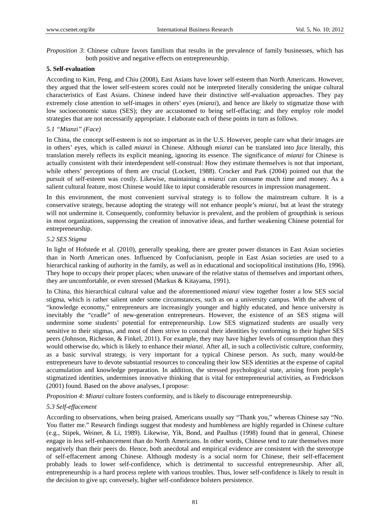*Proposition 3*: Chinese culture favors familism that results in the prevalence of family businesses, which has both positive and negative effects on entrepreneurship.

## **5. Self-evaluation**

According to Kim, Peng, and Chiu (2008), East Asians have lower self-esteem than North Americans. However, they argued that the lower self-esteem scores could not be interpreted literally considering the unique cultural characteristics of East Asians. Chinese indeed have their distinctive self-evaluation approaches. They pay extremely close attention to self-images in others' eyes (*mianzi*), and hence are likely to stigmatize those with low socioeconomic status (SES); they are accustomed to being self-effacing; and they employ role model strategies that are not necessarily appropriate. I elaborate each of these points in turn as follows.

## *5.1 "Mianzi" (Face)*

In China, the concept self-esteem is not so important as in the U.S. However, people care what their images are in others' eyes, which is called *mianzi* in Chinese. Although *mianzi* can be translated into *face* literally, this translation merely reflects its explicit meaning, ignoring its essence. The significance of *mianzi* for Chinese is actually consistent with their interdependent self-construal: How they estimate themselves is not that important, while others' perceptions of them are crucial (Lockett, 1988). Crocker and Park (2004) pointed out that the pursuit of self-esteem was costly. Likewise, maintaining a *mianzi* can consume much time and money. As a salient cultural feature, most Chinese would like to input considerable resources in impression management.

In this environment, the most convenient survival strategy is to follow the mainstream culture. It is a conservative strategy, because adopting the strategy will not enhance people's *mianzi*, but at least the strategy will not undermine it. Consequently, conformity behavior is prevalent, and the problem of groupthink is serious in most organizations, suppressing the creation of innovative ideas, and further weakening Chinese potential for entrepreneurship.

#### *5.2 SES Stigma*

In light of Hofstede et al. (2010), generally speaking, there are greater power distances in East Asian societies than in North American ones. Influenced by Confucianism, people in East Asian societies are used to a hierarchical ranking of authority in the family, as well as in educational and sociopolitical institutions (Ho, 1996). They hope to occupy their proper places; when unaware of the relative status of themselves and important others, they are uncomfortable, or even stressed (Markus & Kitayama, 1991).

In China, this hierarchical cultural value and the aforementioned *mianzi* view together foster a low SES social stigma, which is rather salient under some circumstances, such as on a university campus. With the advent of "knowledge economy," entrepreneurs are increasingly younger and highly educated, and hence university is inevitably the "cradle" of new-generation entrepreneurs. However, the existence of an SES stigma will undermine some students' potential for entrepreneurship. Low SES stigmatized students are usually very sensitive to their stigmas, and most of them strive to conceal their identities by conforming to their higher SES peers (Johnson, Richeson, & Finkel, 2011). For example, they may have higher levels of consumption than they would otherwise do, which is likely to enhance their *mianzi*. After all, in such a collectivistic culture, conformity, as a basic survival strategy, is very important for a typical Chinese person. As such, many would-be entrepreneurs have to devote substantial resources to concealing their low SES identities at the expense of capital accumulation and knowledge preparation. In addition, the stressed psychological state, arising from people's stigmatized identities, undermines innovative thinking that is vital for entrepreneurial activities, as Fredrickson (2001) found. Based on the above analyses, I propose:

*Proposition 4*: *Mianzi* culture fosters conformity, and is likely to discourage entrepreneurship.

## *5.3 Self-effacement*

According to observations, when being praised, Americans usually say "Thank you," whereas Chinese say "No. You flatter me." Research findings suggest that modesty and humbleness are highly regarded in Chinese culture (e.g., Stipek, Weiner, & Li, 1989). Likewise, Yik, Bond, and Paulhus (1998) found that in general, Chinese engage in less self-enhancement than do North Americans. In other words, Chinese tend to rate themselves more negatively than their peers do. Hence, both anecdotal and empirical evidence are consistent with the stereotype of self-effacement among Chinese. Although modesty is a social norm for Chinese, their self-effacement probably leads to lower self-confidence, which is detrimental to successful entrepreneurship. After all, entrepreneurship is a hard process replete with various troubles. Thus, lower self-confidence is likely to result in the decision to give up; conversely, higher self-confidence bolsters persistence.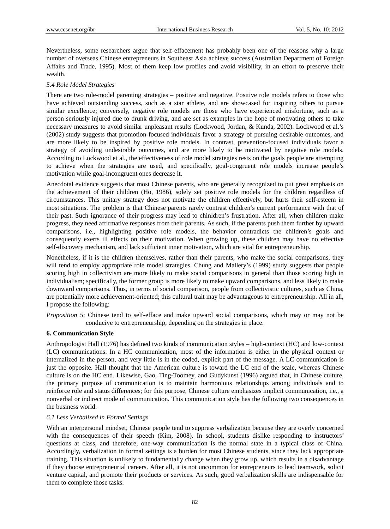Nevertheless, some researchers argue that self-effacement has probably been one of the reasons why a large number of overseas Chinese entrepreneurs in Southeast Asia achieve success (Australian Department of Foreign Affairs and Trade, 1995). Most of them keep low profiles and avoid visibility, in an effort to preserve their wealth.

## *5.4 Role Model Strategies*

There are two role-model parenting strategies – positive and negative. Positive role models refers to those who have achieved outstanding success, such as a star athlete, and are showcased for inspiring others to pursue similar excellence; conversely, negative role models are those who have experienced misfortune, such as a person seriously injured due to drunk driving, and are set as examples in the hope of motivating others to take necessary measures to avoid similar unpleasant results (Lockwood, Jordan, & Kunda, 2002). Lockwood et al.'s (2002) study suggests that promotion-focused individuals favor a strategy of pursuing desirable outcomes, and are more likely to be inspired by positive role models. In contrast, prevention-focused individuals favor a strategy of avoiding undesirable outcomes, and are more likely to be motivated by negative role models. According to Lockwood et al., the effectiveness of role model strategies rests on the goals people are attempting to achieve when the strategies are used, and specifically, goal-congruent role models increase people's motivation while goal-incongruent ones decrease it.

Anecdotal evidence suggests that most Chinese parents, who are generally recognized to put great emphasis on the achievement of their children (Ho, 1986), solely set positive role models for the children regardless of circumstances. This unitary strategy does not motivate the children effectively, but hurts their self-esteem in most situations. The problem is that Chinese parents rarely contrast children's current performance with that of their past. Such ignorance of their progress may lead to chinldren's frustration. After all, when children make progress, they need affirmative responses from their parents. As such, if the parents push them further by upward comparisons, i.e., highlighting positive role models, the behavior contradicts the children's goals and consequently exerts ill effects on their motivation. When growing up, these children may have no effective self-discovery mechanism, and lack sufficient inner motivation, which are vital for entrepreneurship.

Nonetheless, if it is the children themselves, rather than their parents, who make the social comparisons, they will tend to employ appropriate role model strategies. Chung and Mallery's (1999) study suggests that people scoring high in collectivism are more likely to make social comparisons in general than those scoring high in individualism; specifically, the former group is more likely to make upward comparisons, and less likely to make downward comparisons. Thus, in terms of social comparison, people from collectivistic cultures, such as China, are potentially more achievement-oriented; this cultural trait may be advantageous to entrepreneurship. All in all, I propose the following:

*Proposition 5*: Chinese tend to self-efface and make upward social comparisons, which may or may not be conducive to entrepreneurship, depending on the strategies in place.

## **6. Communication Style**

Anthropologist Hall (1976) has defined two kinds of communication styles – high-context (HC) and low-context (LC) communications. In a HC communication, most of the information is either in the physical context or internalized in the person, and very little is in the coded, explicit part of the message. A LC communication is just the opposite. Hall thought that the American culture is toward the LC end of the scale, whereas Chinese culture is on the HC end. Likewise, Gao, Ting-Toomey, and Gudykunst (1996) argued that, in Chinese culture, the primary purpose of communication is to maintain harmonious relationships among individuals and to reinforce role and status differences; for this purpose, Chinese culture emphasizes implicit communication, i.e., a nonverbal or indirect mode of communication. This communication style has the following two consequences in the business world.

#### *6.1 Less Verbalized in Formal Settings*

With an interpersonal mindset, Chinese people tend to suppress verbalization because they are overly concerned with the consequences of their speech (Kim, 2008). In school, students dislike responding to instructors' questions at class, and therefore, one-way communication is the normal state in a typical class of China. Accordingly, verbalization in formal settings is a burden for most Chinese students, since they lack appropriate training. This situation is unlikely to fundamentally change when they grow up, which results in a disadvantage if they choose entrepreneurial careers. After all, it is not uncommon for entrepreneurs to lead teamwork, solicit venture capital, and promote their products or services. As such, good verbalization skills are indispensable for them to complete those tasks.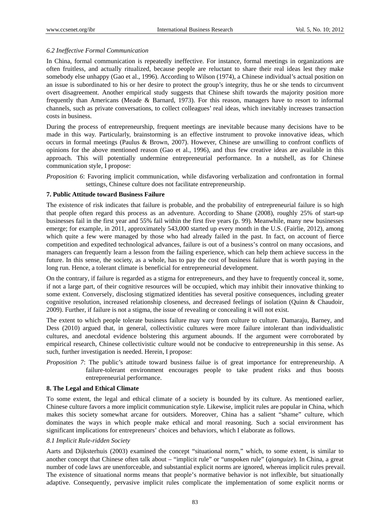# *6.2 Ineffective Formal Communication*

In China, formal communication is repeatedly ineffective. For instance, formal meetings in organizations are often fruitless, and actually ritualized, because people are reluctant to share their real ideas lest they make somebody else unhappy (Gao et al., 1996). According to Wilson (1974), a Chinese individual's actual position on an issue is subordinated to his or her desire to protect the group's integrity, thus he or she tends to circumvent overt disagreement. Another empirical study suggests that Chinese shift towards the majority position more frequently than Americans (Meade & Barnard, 1973). For this reason, managers have to resort to informal channels, such as private conversations, to collect colleagues' real ideas, which inevitably increases transaction costs in business.

During the process of entrepreneurship, frequent meetings are inevitable because many decisions have to be made in this way. Particularly, brainstorming is an effective instrument to provoke innovative ideas, which occurs in formal meetings (Paulus & Brown, 2007). However, Chinese are unwilling to confront conflicts of opinions for the above mentioned reason (Gao et al., 1996), and thus few creative ideas are available in this approach. This will potentially undermine entrepreneurial performance. In a nutshell, as for Chinese communication style, I propose:

*Proposition 6*: Favoring implicit communication, while disfavoring verbalization and confrontation in formal settings, Chinese culture does not facilitate entrepreneurship.

## **7. Public Attitude toward Business Failure**

The existence of risk indicates that failure is probable, and the probability of entrepreneurial failure is so high that people often regard this process as an adventure. According to Shane (2008), roughly 25% of start-up businesses fail in the first year and 55% fail within the first five years (p. 99). Meanwhile, many new businesses emerge; for example, in 2011, approximately 543,000 started up every month in the U.S. (Fairlie, 2012), among which quite a few were managed by those who had already failed in the past. In fact, on account of fierce competition and expedited technological advances, failure is out of a business's control on many occasions, and managers can frequently learn a lesson from the failing experience, which can help them achieve success in the future. In this sense, the society, as a whole, has to pay the cost of business failure that is worth paying in the long run. Hence, a tolerant climate is beneficial for entrepreneurial development.

On the contrary, if failure is regarded as a stigma for entrepreneurs, and they have to frequently conceal it, some, if not a large part, of their cognitive resources will be occupied, which may inhibit their innovative thinking to some extent. Conversely, disclosing stigmatized identities has several positive consequences, including greater cognitive resolution, increased relationship closeness, and decreased feelings of isolation (Quinn & Chaudoir, 2009). Further, if failure is not a stigma, the issue of revealing or concealing it will not exist.

The extent to which people tolerate business failure may vary from culture to culture. Damaraju, Barney, and Dess (2010) argued that, in general, collectivistic cultures were more failure intolerant than individualistic cultures, and anecdotal evidence bolstering this argument abounds. If the argument were corroborated by empirical research, Chinese collectivistic culture would not be conducive to entrepreneurship in this sense. As such, further investigation is needed. Herein, I propose:

*Proposition 7*: The public's attitude toward business failue is of great importance for entrepreneurship. A failure-tolerant environment encourages people to take prudent risks and thus boosts entrepreneurial performance.

## **8. The Legal and Ethical Climate**

To some extent, the legal and ethical climate of a society is bounded by its culture. As mentioned earlier, Chinese culture favors a more implicit communication style. Likewise, implicit rules are popular in China, which makes this society somewhat arcane for outsiders. Moreover, China has a salient "shame" culture, which dominates the ways in which people make ethical and moral reasoning. Such a social environment has significant implications for entrepreneurs' choices and behaviors, which I elaborate as follows.

# *8.1 Implicit Rule-ridden Society*

Aarts and Dijksterhuis (2003) examined the concept "situational norm," which, to some extent, is similar to another concept that Chinese often talk about – "implicit rule" or "unspoken rule" (*qianguize*). In China, a great number of code laws are unenforceable, and substantial explicit norms are ignored, whereas implicit rules prevail. The existence of situational norms means that people's normative behavior is not inflexible, but situationally adaptive. Consequently, pervasive implicit rules complicate the implementation of some explicit norms or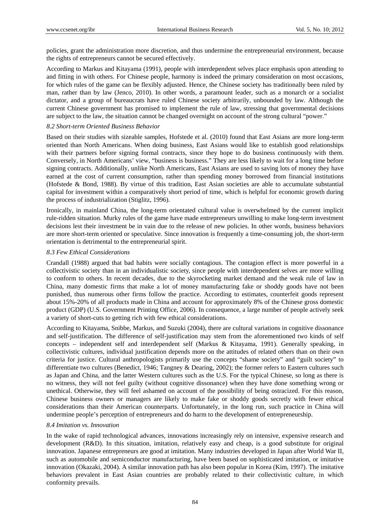policies, grant the administration more discretion, and thus undermine the entrepreneurial environment, because the rights of entrepreneurs cannot be secured effectively.

According to Markus and Kitayama (1991), people with interdependent selves place emphasis upon attending to and fitting in with others. For Chinese people, harmony is indeed the primary consideration on most occasions, for which rules of the game can be flexibly adjusted. Hence, the Chinese society has traditionally been ruled by man, rather than by law (Jenco, 2010). In other words, a paramount leader, such as a monarch or a socialist dictator, and a group of bureaucrats have ruled Chinese society arbitrarily, unbounded by law. Although the current Chinese government has promised to implement the rule of law, stressing that governmental decisions are subject to the law, the situation cannot be changed overnight on account of the strong cultural "power."

#### *8.2 Short-term Oriented Business Behavior*

Based on their studies with sizeable samples, Hofstede et al. (2010) found that East Asians are more long-term oriented than North Americans. When doing business, East Asians would like to establish good relationships with their partners before signing formal contracts, since they hope to do business continuously with them. Conversely, in North Americans' view, "business is business." They are less likely to wait for a long time before signing contracts. Additionally, unlike North Americans, East Asians are used to saving lots of money they have earned at the cost of current consumption, rather than spending money borrowed from financial institutions (Hofstede & Bond, 1988). By virtue of this tradition, East Asian societies are able to accumulate substantial capital for investment within a comparatively short period of time, which is helpful for economic growth during the process of industrialization (Stiglitz, 1996).

Ironically, in mainland China, the long-term orientated cultural value is overwhelmed by the current implicit rule-ridden situation. Murky rules of the game have made entrepreneurs unwilling to make long-term investment decisions lest their investment be in vain due to the release of new policies. In other words, business behaviors are more short-term oriented or speculative. Since innovation is frequently a time-consuming job, the short-term orientation is detrimental to the entrepreneurial spirit.

#### *8.3 Few Ethical Considerations*

Crandall (1988) argued that bad habits were socially contagious. The contagion effect is more powerful in a collectivistic society than in an individualistic society, since people with interdependent selves are more willing to conform to others. In recent decades, due to the skyrocketing market demand and the weak rule of law in China, many domestic firms that make a lot of money manufacturing fake or shoddy goods have not been punished, thus numerous other firms follow the practice. According to estimates, counterfeit goods represent about 15%-20% of all products made in China and account for approximately 8% of the Chinese gross domestic product (GDP) (U.S. Government Printing Office, 2006). In consequence, a large number of people actively seek a variety of short-cuts to getting rich with few ethical considerations.

According to Kitayama, Snibbe, Markus, and Suzuki (2004), there are cultural variations in cognitive dissonance and self-justification. The difference of self-justification may stem from the aforementioned two kinds of self concepts – independent self and interdependent self (Markus & Kitayama, 1991). Generally speaking, in collectivistic cultures, individual justification depends more on the attitudes of related others than on their own criteria for justice. Cultural anthropologists primarily use the concepts "shame society" and "guilt society" to differentiate two cultures (Benedict, 1946; Tangney & Dearing, 2002); the former refers to Eastern cultures such as Japan and China, and the latter Western cultures such as the U.S. For the typical Chinese, so long as there is no witness, they will not feel guilty (without cognitive dissonance) when they have done something wrong or unethical. Otherwise, they will feel ashamed on account of the possibility of being ostracized. For this reason, Chinese business owners or managers are likely to make fake or shoddy goods secretly with fewer ethical considerations than their American counterparts. Unfortunately, in the long run, such practice in China will undermine people's perception of entrepreneurs and do harm to the development of entrepreneurship.

#### *8.4 Imitation vs. Innovation*

In the wake of rapid technological advances, innovations increasingly rely on intensive, expensive research and development (R&D). In this situation, imitation, relatively easy and cheap, is a good substitute for original innovation. Japanese entrepreneurs are good at imitation. Many industries developed in Japan after World War II, such as automobile and semiconductor manufacturing, have been based on sophisticated imitation, or imitative innovation (Okazaki, 2004). A similar innovation path has also been popular in Korea (Kim, 1997). The imitative behaviors prevalent in East Asian countries are probably related to their collectivistic culture, in which conformity prevails.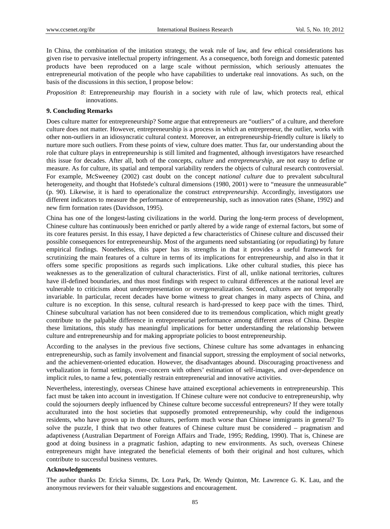In China, the combination of the imitation strategy, the weak rule of law, and few ethical considerations has given rise to pervasive intellectual property infringement. As a consequence, both foreign and domestic patented products have been reproduced on a large scale without permission, which seriously attenuates the entrepreneurial motivation of the people who have capabilities to undertake real innovations. As such, on the basis of the discussions in this section, I propose below:

*Proposition 8*: Entrepreneurship may flourish in a society with rule of law, which protects real, ethical innovations.

#### **9. Concluding Remarks**

Does culture matter for entrepreneurship? Some argue that entrepreneurs are "outliers" of a culture, and therefore culture does not matter. However, entrepreneurship is a process in which an entrepreneur, the outlier, works with other non-outliers in an idiosyncratic cultural context. Moreover, an entrepreneurship-friendly culture is likely to nurture more such outliers. From these points of view, culture does matter. Thus far, our understanding about the role that culture plays in entrepreneurship is still limited and fragmented, although investigators have researched this issue for decades. After all, both of the concepts, *culture* and *entrepreneurship*, are not easy to define or measure. As for culture, its spatial and temporal variability renders the objects of cultural research controversial. For example, McSweeney (2002) cast doubt on the concept *national culture* due to prevalent subcultural heterogeneity, and thought that Hofstede's cultural dimensions (1980, 2001) were to "measure the unmeasurable" (p. 90). Likewise, it is hard to operationalize the construct *entrepreneurship*. Accordingly, investigators use different indicators to measure the performance of entrepreneurship, such as innovation rates (Shane, 1992) and new firm formation rates (Davidsson, 1995).

China has one of the longest-lasting civilizations in the world. During the long-term process of development, Chinese culture has continuously been enriched or partly altered by a wide range of external factors, but some of its core features persist. In this essay, I have depicted a few characteristics of Chinese culture and discussed their possible consequences for entrepreneurship. Most of the arguments need substantiating (or repudiating) by future empirical findings. Nonetheless, this paper has its strengths in that it provides a useful framework for scrutinizing the main features of a culture in terms of its implications for entrepreneurship, and also in that it offers some specific propositions as regards such implications. Like other cultural studies, this piece has weaknesses as to the generalization of cultural characteristics. First of all, unlike national territories, cultures have ill-defined boundaries, and thus most findings with respect to cultural differences at the national level are vulnerable to criticisms about underrepresentation or overgeneralization. Second, cultures are not temporally invariable. In particular, recent decades have borne witness to great changes in many aspects of China, and culture is no exception. In this sense, cultural research is hard-pressed to keep pace with the times. Third, Chinese subcultural variation has not been considered due to its tremendous complication, which might greatly contribute to the palpable difference in entrepreneurial performance among different areas of China. Despite these limitations, this study has meaningful implications for better understanding the relationship between culture and entrepreneurship and for making appropriate policies to boost entrepreneurship.

According to the analyses in the previous five sections, Chinese culture has some advantages in enhancing entrepreneurship, such as family involvement and financial support, stressing the employment of social networks, and the achievement-oriented education. However, the disadvantages abound. Discouraging proactiveness and verbalization in formal settings, over-concern with others' estimation of self-images, and over-dependence on implicit rules, to name a few, potentially restrain entrepreneurial and innovative activities.

Nevertheless, interestingly, overseas Chinese have attained exceptional achievements in entrepreneurship. This fact must be taken into account in investigation. If Chinese culture were not conducive to entrepreneurship, why could the sojourners deeply influenced by Chinese culture become successful entrepreneurs? If they were totally acculturated into the host societies that supposedly promoted entrepreneurship, why could the indigenous residents, who have grown up in those cultures, perform much worse than Chinese immigrants in general? To solve the puzzle, I think that two other features of Chinese culture must be considered – pragmatism and adaptiveness (Australian Department of Foreign Affairs and Trade, 1995; Redding, 1990). That is, Chinese are good at doing business in a pragmatic fashion, adapting to new environments. As such, overseas Chinese entrepreneurs might have integrated the beneficial elements of both their original and host cultures, which contribute to successful business ventures.

#### **Acknowledgements**

The author thanks Dr. Ericka Simms, Dr. Lora Park, Dr. Wendy Quinton, Mr. Lawrence G. K. Lau, and the anonymous reviewers for their valuable suggestions and encouragement.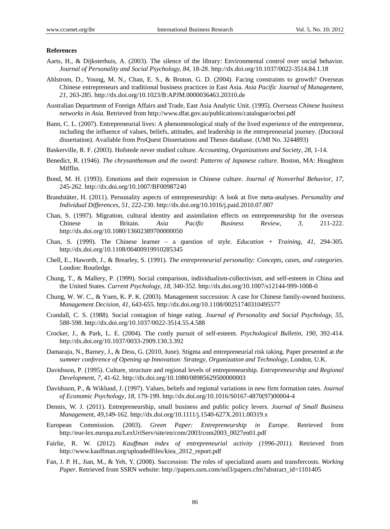#### **References**

- Aarts, H., & Dijksterhuis, A. (2003). The silence of the library: Environmental control over social behavior. *Journal of Personality and Social Psychology, 84,* 18-28. http://dx.doi.org/10.1037/0022-3514.84.1.18
- Ahlstrom, D., Young, M. N., Chan, E. S., & Bruton, G. D. (2004). Facing constraints to growth? Overseas Chinese entrepreneurs and traditional business practices in East Asia. *Asia Pacific Journal of Management, 21,* 263-285. http://dx.doi.org/10.1023/B:APJM.0000036463.20310.de
- Australian Department of Foreign Affairs and Trade, East Asia Analytic Unit. (1995). *Overseas Chinese business networks in Asia.* Retrieved from http://www.dfat.gov.au/publications/catalogue/ocbni.pdf
- Bann, C. L. (2007). Entrepreneurial lives: A phenomenological study of the lived experience of the entrepreneur, including the influence of values, beliefs, attitudes, and leadership in the entrepreneurial journey. (Doctoral dissertation). Available from ProQuest Dissertations and Theses database. (UMI No. 3244893)
- Baskerville, R. F. (2003). Hofstede never studied culture. *Accounting, Organizations and Society, 28*, 1-14.
- Benedict, R. (1946). *The chrysanthemum and the sword: Patterns of Japanese culture*. Boston, MA: Houghton Mifflin.
- Bond, M. H. (1993). Emotions and their expression in Chinese culture. *Journal of Nonverbal Behavior, 17*, 245-262. http://dx.doi.org/10.1007/BF00987240
- Brandstäter, H. (2011). Personality aspects of entrepreneurship: A look at five meta-analyses. *Personality and Individual Differences, 51*, 222-230. http://dx.doi.org/10.1016/j.paid.2010.07.007
- Chan, S. (1997). Migration, cultural identity and assimilation effects on entrepreneurship for the overseas Chinese in Britain. *Asia Pacific Business Review, 3*, 211-222. http://dx.doi.org/10.1080/13602389700000050
- Chan, S. (1999). The Chinese learner a question of style. *Education + Training, 41*, 294-305. http://dx.doi.org/10.1108/00400919910285345
- Chell, E., Haworth, J., & Brearley, S. (1991). *The entrepreneurial personality: Concepts, cases, and categories*. London: Routledge.
- Chung, T., & Mallery, P. (1999). Social comparison, individualism-collectivism, and self-esteem in China and the United States. *Current Psychology, 18*, 340-352. http://dx.doi.org/10.1007/s12144-999-1008-0
- Chung, W. W. C., & Yuen, K. P. K. (2003). Management succession: A case for Chinese family-owned business. *Management Decision, 41*, 643-655. http://dx.doi.org/10.1108/00251740310495577
- Crandall, C. S. (1988). Social contagion of binge eating. *Journal of Personality and Social Psychology, 55*, 588-598. http://dx.doi.org/10.1037/0022-3514.55.4.588
- Crocker, J., & Park, L. E. (2004). The costly pursuit of self-esteem. *Psychological Bulletin, 190*, 392-414. http://dx.doi.org/10.1037/0033-2909.130.3.392
- Damaraju, N., Barney, J., & Dess, G. (2010, June). Stigma and entrepreneurial risk taking. Paper presented at *the summer conference of Opening up Innovation: Strategy, Organization and Technology*, London, U.K.
- Davidsson, P. (1995). Culture, structure and regional levels of entrepreneurship. *Entrepreneurship and Regional Development, 7*, 41-62. http://dx.doi.org/10.1080/08985629500000003
- Davidsson, P., & Wiklund, J. (1997). Values, beliefs and regional variations in new firm formation rates. *Journal of Economic Psychology, 18*, 179-199. http://dx.doi.org/10.1016/S0167-4870(97)00004-4
- Dennis, W. J. (2011). Entrepreneurship, small business and public policy levers. *Journal of Small Business Management, 49*,149-162. http://dx.doi.org/10.1111/j.1540-627X.2011.00319.x
- European Commission. (2003). *Green Paper: Entrepreneurship in Europe*. Retrieved from http://eur-lex.europa.eu/LexUriServ/site/en/com/2003/com2003\_0027en01.pdf
- Fairlie, R. W. (2012). *Kauffman index of entrepreneurial activity (1996-2011).* Retrieved from http://www.kauffman.org/uploadedfiles/kiea\_2012\_report.pdf
- Fan, J. P. H., Jian, M., & Yeh, Y. (2008). Succession: The roles of specialized assets and transfercosts. *Working Paper*. Retrieved from SSRN website: http://papers.ssrn.com/sol3/papers.cfm?abstract\_id=1101405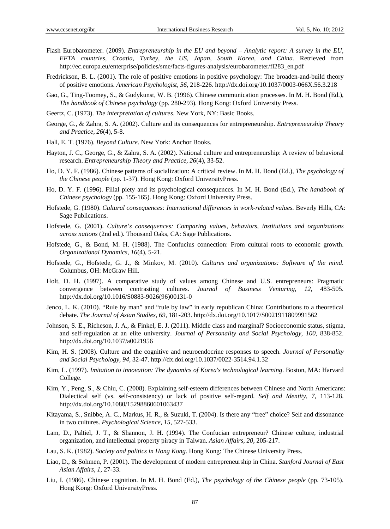- Flash Eurobarometer. (2009). *Entrepreneurship in the EU and beyond Analytic report: A survey in the EU, EFTA countries, Croatia, Turkey, the US, Japan, South Korea, and China.* Retrieved from http://ec.europa.eu/enterprise/policies/sme/facts-figures-analysis/eurobarometer/fl283\_en.pdf
- Fredrickson, B. L. (2001). The role of positive emotions in positive psychology: The broaden-and-build theory of positive emotions. *American Psychologist, 56*, 218-226. http://dx.doi.org/10.1037/0003-066X.56.3.218
- Gao, G., Ting-Toomey, S., & Gudykunst, W. B. (1996). Chinese communication processes. In M. H. Bond (Ed.), *The handbook of Chinese psychology* (pp. 280-293). Hong Kong: Oxford University Press.
- Geertz, C. (1973). *The interpretation of cultures*. New York, NY: Basic Books.
- George, G., & Zahra, S. A. (2002). Culture and its consequences for entrepreneurship. *Entrepreneurship Theory and Practice, 26*(4), 5-8.
- Hall, E. T. (1976). *Beyond Culture*. New York: Anchor Books.
- Hayton, J. C., George, G., & Zahra, S. A. (2002). National culture and entrepreneurship: A review of behavioral research. *Entrepreneurship Theory and Practice, 26*(4), 33-52.
- Ho, D. Y. F. (1986). Chinese patterns of socialization: A critical review. In M. H. Bond (Ed.), *The psychology of the Chinese people* (pp. 1-37). Hong Kong: Oxford UniversityPress.
- Ho, D. Y. F. (1996). Filial piety and its psychological consequences. In M. H. Bond (Ed.), *The handbook of Chinese psychology* (pp. 155-165). Hong Kong: Oxford University Press.
- Hofstede, G. (1980). *Cultural consequences: International differences in work-related values.* Beverly Hills, CA: Sage Publications.
- Hofstede, G. (2001). *Culture's consequences: Comparing values, behaviors, institutions and organizations across nations* (2nd ed.). Thousand Oaks, CA: Sage Publications.
- Hofstede, G., & Bond, M. H. (1988). The Confucius connection: From cultural roots to economic growth. *Organizational Dynamics, 16*(4), 5-21.
- Hofstede, G., Hofstede, G. J., & Minkov, M. (2010). *Cultures and organizations: Software of the mind*. Columbus, OH: McGraw Hill.
- Holt, D. H. (1997). A comparative study of values among Chinese and U.S. entrepreneurs: Pragmatic convergence between contrasting cultures. *Journal of Business Venturing, 12*, 483-505. http://dx.doi.org/10.1016/S0883-9026(96)00131-0
- Jenco, L. K. (2010). "Rule by man" and "rule by law" in early republican China: Contributions to a theoretical debate. *The Journal of Asian Studies, 69*, 181-203. http://dx.doi.org/10.1017/S0021911809991562
- Johnson, S. E., Richeson, J. A., & Finkel, E. J. (2011). Middle class and marginal? Socioeconomic status, stigma, and self-regulation at an elite university. *Journal of Personality and Social Psychology, 100*, 838-852. http://dx.doi.org/10.1037/a0021956
- Kim, H. S. (2008). Culture and the cognitive and neuroendocrine responses to speech. *Journal of Personality and Social Psychology, 94*, 32-47. http://dx.doi.org/10.1037/0022-3514.94.1.32
- Kim, L. (1997). *Imitation to innovation: The dynamics of Korea's technological learning*. Boston, MA: Harvard College.
- Kim, Y., Peng, S., & Chiu, C. (2008). Explaining self-esteem differences between Chinese and North Americans: Dialectical self (vs. self-consistency) or lack of positive self-regard. *Self and Identity, 7*, 113-128. http://dx.doi.org/10.1080/15298860601063437
- Kitayama, S., Snibbe, A. C., Markus, H. R., & Suzuki, T. (2004). Is there any "free" choice? Self and dissonance in two cultures. *Psychological Science, 15,* 527-533.
- Lam, D., Paltiel, J. T., & Shannon, J. H. (1994). The Confucian entrepreneur? Chinese culture, industrial organization, and intellectual property piracy in Taiwan. *Asian Affairs, 20*, 205-217.
- Lau, S. K. (1982). *Society and politics in Hong Kong.* Hong Kong: The Chinese University Press.
- Liao, D., & Sohmen, P. (2001). The development of modern entrepreneurship in China. *Stanford Journal of East Asian Affairs, 1,* 27-33.
- Liu, I. (1986). Chinese cognition. In M. H. Bond (Ed.), *The psychology of the Chinese people* (pp. 73-105). Hong Kong: Oxford UniversityPress.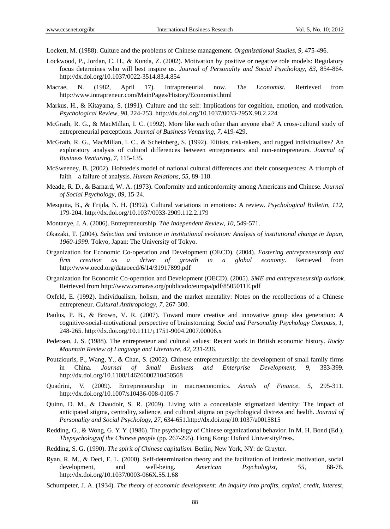Lockett, M. (1988). Culture and the problems of Chinese management. *Organizational Studies, 9,* 475-496.

- Lockwood, P., Jordan, C. H., & Kunda, Z. (2002). Motivation by positive or negative role models: Regulatory focus determines who will best inspire us. *Journal of Personality and Social Psychology, 83,* 854-864. http://dx.doi.org/10.1037/0022-3514.83.4.854
- Macrae, N. (1982, April 17). Intrapreneurial now. *The Economist.* Retrieved from http://www.intrapreneur.com/MainPages/History/Economist.html
- Markus, H., & Kitayama, S. (1991). Culture and the self: Implications for cognition, emotion, and motivation. *Psychological Review, 98,* 224-253. http://dx.doi.org/10.1037/0033-295X.98.2.224
- McGrath, R. G., & MacMillan, I. C. (1992). More like each other than anyone else? A cross-cultural study of entrepreneurial perceptions. *Journal of Business Venturing, 7,* 419-429.
- McGrath, R. G., MacMillan, I. C., & Scheinberg, S. (1992). Elitists, risk-takers, and rugged individualists? An exploratory analysis of cultural differences between entrepreneurs and non-entrepreneurs. *Journal of Business Venturing, 7,* 115-135.
- McSweeney, B. (2002). Hofstede's model of national cultural differences and their consequences: A triumph of faith – a failure of analysis. *Human Relations, 55*, 89-118.
- Meade, R. D., & Barnard, W. A. (1973). Conformity and anticonformity among Americans and Chinese. *Journal of Social Psychology, 89,* 15-24.
- Mesquita, B., & Frijda, N. H. (1992). Cultural variations in emotions: A review. *Psychological Bulletin, 112,*  179-204. http://dx.doi.org/10.1037/0033-2909.112.2.179
- Montanye, J. A. (2006). Entrepreneurship. *The Independent Review, 10,* 549-571.
- Okazaki, T. (2004). *Selection and imitation in institutional evolution: Analysis of institutional change in Japan, 1960-1999*. Tokyo, Japan: The University of Tokyo.
- Organization for Economic Co-operation and Development (OECD). (2004). *Fostering entrepreneurship and firm creation as a driver of growth in a global economy.* Retrieved from http://www.oecd.org/dataoecd/6/14/31917899.pdf
- Organization for Economic Co-operation and Development (OECD). (2005). *SME and entrepreneurship outlook.*  Retrieved from http://www.camaras.org/publicado/europa/pdf/8505011E.pdf
- Oxfeld, E. (1992). Individualism, holism, and the market mentality: Notes on the recollections of a Chinese entrepreneur. *Cultural Anthropology, 7*, 267-300.
- Paulus, P. B., & Brown, V. R. (2007). Toward more creative and innovative group idea generation: A cognitive-social-motivational perspective of brainstorming. *Social and Personality Psychology Compass, 1,* 248-265. http://dx.doi.org/10.1111/j.1751-9004.2007.00006.x
- Pedersen, J. S. (1988). The entrepreneur and cultural values: Recent work in British economic history. *Rocky Mountain Review of Language and Literature, 42*, 231-236.
- Poutziouris, P., Wang, Y., & Chan, S. (2002). Chinese entrepreneurship: the development of small family firms in China. *Journal of Small Business and Enterprise Development, 9,* 383-399. http://dx.doi.org/10.1108/14626000210450568
- Quadrini, V. (2009). Entrepreneurship in macroeconomics. *Annals of Finance, 5,* 295-311. http://dx.doi.org/10.1007/s10436-008-0105-7
- Quinn, D. M., & Chaudoir, S. R. (2009). Living with a concealable stigmatized identity: The impact of anticipated stigma, centrality, salience, and cultural stigma on psychological distress and health. *Journal of Personality and Social Psychology, 27,* 634-651.http://dx.doi.org/10.1037/a0015815
- Redding, G., & Wong, G. Y. Y. (1986). The psychology of Chinese organizational behavior. In M. H. Bond (Ed.), *Thepsychologyof the Chinese people* (pp. 267-295). Hong Kong: Oxford UniversityPress.
- Redding, S. G. (1990). *The spirit of Chinese capitalism.* Berlin; New York, NY: de Gruyter.
- Ryan, R. M., & Deci, E. L. (2000). Self-determination theory and the facilitation of intrinsic motivation, social development, and well-being. *American Psychologist, 55,* 68-78. http://dx.doi.org/10.1037/0003-066X.55.1.68
- Schumpeter, J. A. (1934). *The theory of economic development: An inquiry into profits, capital, credit, interest,*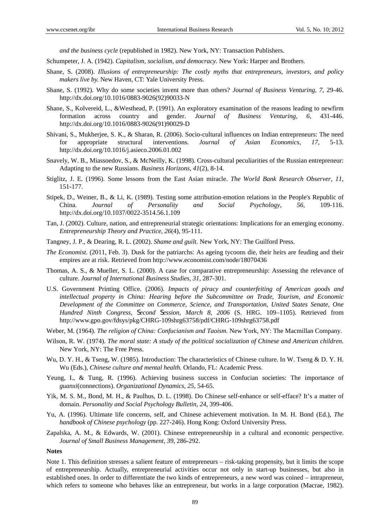*and the business cycle* (republished in 1982). New York, NY: Transaction Publishers.

- Schumpeter, J. A. (1942). *Capitalism, socialism, and democracy.* New York: Harper and Brothers.
- Shane, S. (2008). *Illusions of entrepreneurship: The costly myths that entrepreneurs, investors, and policy makers live by.* New Haven, CT: Yale University Press.
- Shane, S. (1992). Why do some societies invent more than others? *Journal of Business Venturing, 7,* 29-46. http://dx.doi.org/10.1016/0883-9026(92)90033-N
- Shane, S., Kolvereid, L., &Westhead, P. (1991). An exploratory examination of the reasons leading to newfirm formation across country and gender. *Journal of Business Venturing, 6,* 431-446. http://dx.doi.org/10.1016/0883-9026(91)90029-D
- Shivani, S., Mukherjee, S. K., & Sharan, R. (2006). Socio-cultural influences on Indian entrepreneurs: The need for appropriate structural interventions. *Journal of Asian Economics, 17*, 5-13. http://dx.doi.org/10.1016/j.asieco.2006.01.002
- Snavely, W. B., Miassoedov, S., & McNeilly, K. (1998). Cross-cultural peculiarities of the Russian entrepreneur: Adapting to the new Russians. *Business Horizons, 41*(2), 8-14.
- Stiglitz, J. E. (1996). Some lessons from the East Asian miracle. *The World Bank Research Observer, 11,* 151-177.
- Stipek, D., Weiner, B., & Li, K. (1989). Testing some attribution-emotion relations in the People's Republic of China. *Journal of Personality and Social Psychology, 56,* 109-116. http://dx.doi.org/10.1037/0022-3514.56.1.109
- Tan, J. (2002). Culture, nation, and entrepreneurial strategic orientations: Implications for an emerging economy. *Entrepreneurship Theory and Practice, 26*(4), 95-111.
- Tangney, J. P., & Dearing, R. L. (2002). *Shame and guilt*. New York, NY: The Guilford Press.
- *The Economist*. (2011, Feb. 3). Dusk for the patriarchs: As ageing tycoons die, their heirs are feuding and their empires are at risk. Retrieved from http://www.economist.com/node/18070436
- Thomas, A. S., & Mueller, S. L. (2000). A case for comparative entrepreneurship: Assessing the relevance of culture. *Journal of International Business Studies, 31,* 287-301.
- U.S. Government Printing Office. (2006). *Impacts of piracy and counterfeiting of American goods and intellectual property in China: Hearing before the Subcommittee on Trade, Tourism, and Economic Development of the Committee on Commerce, Science, and Transportation, United States Senate, One Hundred Ninth Congress, Second Session, March 8, 2006* (S. HRG. 109–1105). Retrieved from http://www.gpo.gov/fdsys/pkg/CHRG-109shrg63758/pdf/CHRG-109shrg63758.pdf
- Weber, M. (1964). *The religion of China: Confucianism and Taoism.* New York, NY: The Macmillan Company.
- Wilson, R. W. (1974). *The moral state: A study of the political socialization of Chinese and American children.*  New York, NY: The Free Press.
- Wu, D. Y. H., & Tseng, W. (1985). Introduction: The characteristics of Chinese culture. In W. Tseng & D. Y. H. Wu (Eds.), *Chinese culture and mental health.* Orlando, FL: Academic Press.
- Yeung, I., & Tung, R. (1996). Achieving business success in Confucian societies: The importance of *guanxi*(connections). *Organizational Dynamics, 25*, 54-65.
- Yik, M. S. M., Bond, M. H., & Paulhus, D. L. (1998). Do Chinese self-enhance or self-efface? It's a matter of domain. *Personality and Social Psychology Bulletin, 24*, 399-406.
- Yu, A. (1996). Ultimate life concerns, self, and Chinese achievement motivation. In M. H. Bond (Ed.), *The handbook of Chinese psychology* (pp. 227-246). Hong Kong: Oxford University Press.
- Zapalska, A. M., & Edwards, W. (2001). Chinese entrepreneurship in a cultural and economic perspective. *Journal of Small Business Management, 39,* 286-292.

#### **Notes**

Note 1. This definition stresses a salient feature of entrepreneurs – risk-taking propensity, but it limits the scope of entrepreneurship. Actually, entrepreneurial activities occur not only in start-up businesses, but also in established ones. In order to differentiate the two kinds of entrepreneurs, a new word was coined – intrapreneur, which refers to someone who behaves like an entrepreneur, but works in a large corporation (Macrae, 1982).